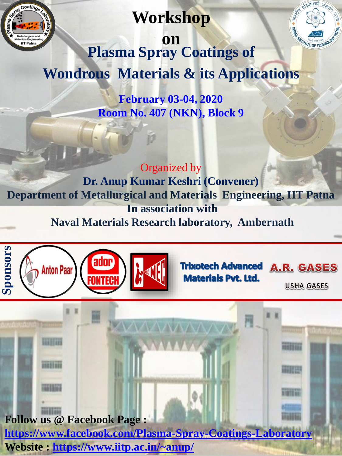

## **Workshop**



**on Plasma Spray Coatings of Wondrous Materials & its Applications**

> **February 03-04, 2020 Room No. 407 (NKN), Block 9**

#### Organized by

**Dr. Anup Kumar Keshri (Convener) Department of Metallurgical and Materials Engineering, IIT Patna In association with Naval Materials Research laboratory, Ambernath**





**USHA GASES** 

**Follow us @ Facebook Page :**

**<https://www.facebook.com/Plasma-Spray-Coatings-Laboratory>**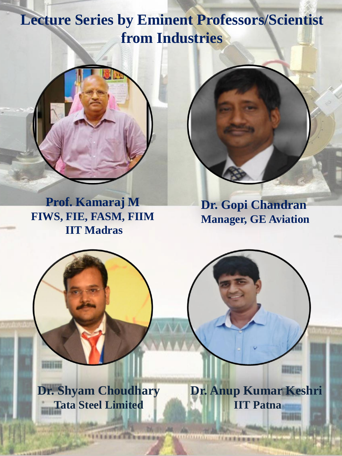# **Lecture Series by Eminent Professors/Scientist from Industries**



**Prof. Kamaraj M FIWS, FIE, FASM, FIIM IIT Madras**

**Dr. Gopi Chandran Manager, GE Aviation**

**Dr. Shyam Choudhary Tata Steel Limited**

**LEASTER ENGINEERS** 

70821083

**Dr. Anup Kumar Keshri IIT Patna**

人名英麦克德德德

面積田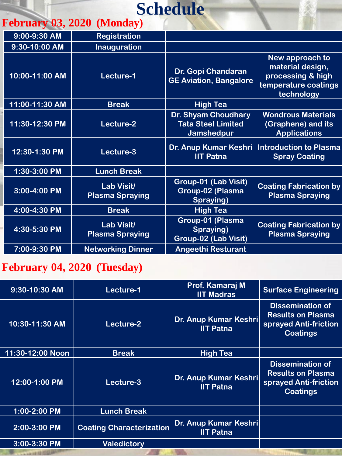# **Schedule**

### **February 03, 2020 (Monday)**

| 9:00-9:30 AM       | <b>Registration</b>                         |                                                                       |                                                                                                |
|--------------------|---------------------------------------------|-----------------------------------------------------------------------|------------------------------------------------------------------------------------------------|
| 9:30-10:00 AM      | <b>Inauguration</b>                         |                                                                       |                                                                                                |
| 10:00-11:00 AM     | Lecture-1                                   | Dr. Gopi Chandaran<br><b>GE Aviation, Bangalore</b>                   | New approach to<br>material design,<br>processing & high<br>temperature coatings<br>technology |
| $11:00 - 11:30$ AM | <b>Break</b>                                | <b>High Tea</b>                                                       |                                                                                                |
| 11:30-12:30 PM     | Lecture-2                                   | Dr. Shyam Choudhary<br><b>Tata Steel Limited</b><br><b>Jamshedpur</b> | <b>Wondrous Materials</b><br>(Graphene) and its<br><b>Applications</b>                         |
| 12:30-1:30 PM      | Lecture-3                                   | Dr. Anup Kumar Keshri<br><b>IIT Patna</b>                             | Introduction to Plasma<br><b>Spray Coating</b>                                                 |
| 1:30-3:00 PM       | <b>Lunch Break</b>                          |                                                                       |                                                                                                |
| 3:00-4:00 PM       | <b>Lab Visit/</b><br><b>Plasma Spraying</b> | Group-01 (Lab Visit)<br><b>Group-02 (Plasma</b><br>Spraying)          | <b>Coating Fabrication by</b><br><b>Plasma Spraying</b>                                        |
| 4:00-4:30 PM       | <b>Break</b>                                | <b>High Tea</b>                                                       |                                                                                                |
| 4:30-5:30 PM       | <b>Lab Visit/</b><br><b>Plasma Spraying</b> | Group-01 (Plasma<br>Spraying)<br><b>Group-02 (Lab Visit)</b>          | <b>Coating Fabrication by</b><br><b>Plasma Spraying</b>                                        |
| 7:00-9:30 PM       | <b>Networking Dinner</b>                    | <b>Angeethi Resturant</b>                                             |                                                                                                |

### **February 04, 2020 (Tuesday)**

| 9:30-10:30 AM        | Lecture-1                       | Prof. Kamaraj M<br><b>IIT Madras</b>      | <b>Surface Engineering</b>                                                                      |
|----------------------|---------------------------------|-------------------------------------------|-------------------------------------------------------------------------------------------------|
| 10:30-11:30 AM       | Lecture-2                       | Dr. Anup Kumar Keshri<br><b>IIT Patna</b> | <b>Dissemination of</b><br><b>Results on Plasma</b><br>sprayed Anti-friction<br><b>Coatings</b> |
| $11:30 - 12:00$ Noon | <b>Break</b>                    | <b>High Tea</b>                           |                                                                                                 |
| 12:00-1:00 PM        | Lecture-3                       | Dr. Anup Kumar Keshri<br><b>IIT Patna</b> | <b>Dissemination of</b><br><b>Results on Plasma</b><br>sprayed Anti-friction<br><b>Coatings</b> |
| 1:00-2:00 PM         | <b>Lunch Break</b>              |                                           |                                                                                                 |
| 2:00-3:00 PM         | <b>Coating Characterization</b> | Dr. Anup Kumar Keshri<br><b>IIT Patna</b> |                                                                                                 |
| 3:00-3:30 PM         | <b>Valedictory</b>              |                                           |                                                                                                 |
|                      |                                 |                                           |                                                                                                 |